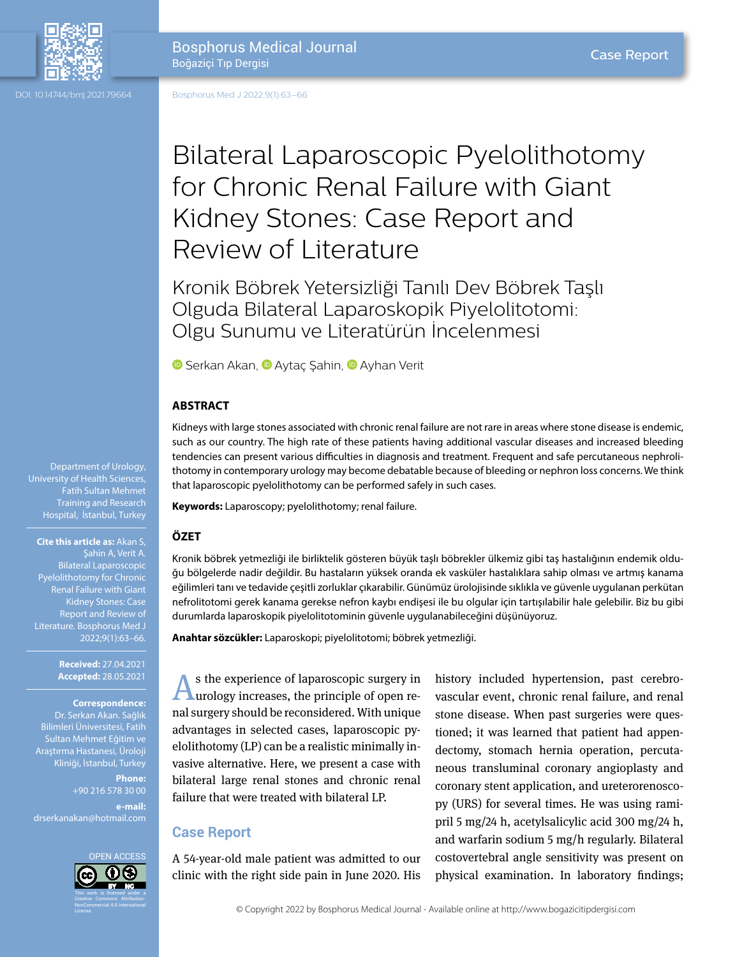

Bosphorus Med J 2022;9(1):63–66

# Bilateral Laparoscopic Pyelolithotomy for Chronic Renal Failure with Giant Kidney Stones: Case Report and Review of Literature

Kronik Böbrek Yetersizliği Tanılı Dev Böbrek Taşlı Olguda Bilateral Laparoskopik Piyelolitotomi: Olgu Sunumu ve Literatürün İncelenmesi

**G**Serkan [A](https://orcid.org/0000-0003-4373-8104)kan, **G** Aytaç Şahin, **G** Ayhan Verit

#### **ABSTRACT**

Kidneys with large stones associated with chronic renal failure are not rare in areas where stone disease is endemic, such as our country. The high rate of these patients having additional vascular diseases and increased bleeding tendencies can present various difficulties in diagnosis and treatment. Frequent and safe percutaneous nephrolithotomy in contemporary urology may become debatable because of bleeding or nephron loss concerns. We think that laparoscopic pyelolithotomy can be performed safely in such cases.

**Keywords:** Laparoscopy; pyelolithotomy; renal failure.

#### **ÖZET**

Kronik böbrek yetmezliği ile birliktelik gösteren büyük taşlı böbrekler ülkemiz gibi taş hastalığının endemik olduğu bölgelerde nadir değildir. Bu hastaların yüksek oranda ek vasküler hastalıklara sahip olması ve artmış kanama eğilimleri tanı ve tedavide çeşitli zorluklar çıkarabilir. Günümüz ürolojisinde sıklıkla ve güvenle uygulanan perkütan nefrolitotomi gerek kanama gerekse nefron kaybı endişesi ile bu olgular için tartışılabilir hale gelebilir. Biz bu gibi durumlarda laparoskopik piyelolitotominin güvenle uygulanabileceğini düşünüyoruz.

**Anahtar sözcükler:** Laparoskopi; piyelolitotomi; böbrek yetmezliği.

s the experience of laparoscopic surgery in urology increases, the principle of open renal surgery should be reconsidered. With unique advantages in selected cases, laparoscopic pyelolithotomy (LP) can be a realistic minimally invasive alternative. Here, we present a case with bilateral large renal stones and chronic renal failure that were treated with bilateral LP.

# **Case Report**

A 54-year-old male patient was admitted to our clinic with the right side pain in June 2020. His history included hypertension, past cerebrovascular event, chronic renal failure, and renal stone disease. When past surgeries were questioned; it was learned that patient had appendectomy, stomach hernia operation, percutaneous transluminal coronary angioplasty and coronary stent application, and ureterorenoscopy (URS) for several times. He was using ramipril 5 mg/24 h, acetylsalicylic acid 300 mg/24 h, and warfarin sodium 5 mg/h regularly. Bilateral costovertebral angle sensitivity was present on physical examination. In laboratory findings;

Department of Urology, University of Health Sciences, Fatih Sultan Mehmet Training and Research Hospital, İstanbul, Turkey

**Cite this article as:** Akan S, şahin A, Verit A. Bilateral Laparoscopic Pyelolithotomy for Chronic Renal Failure with Giant Kidney Stones: Case Report and Review of

> **Received:** 27.04.2021 **Accepted:** 28.05.2021

**Correspondence:**

Dr. Serkan Akan. Sağlık Bilimleri Üniversitesi, Fatih Sultan Mehmet Eğitim ve Araştırma Hastanesi, Üroloji Kliniği, İstanbul, Turkey

> **Phone:** +90 216 578 30 00 **e-mail:**

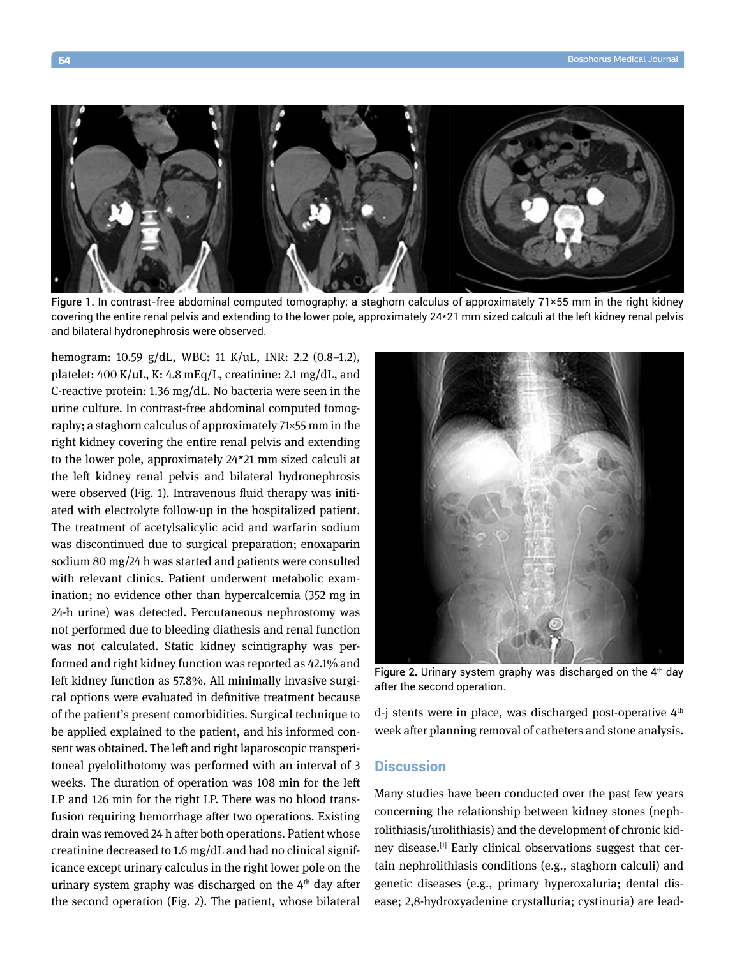

Figure 1. In contrast-free abdominal computed tomography; a staghorn calculus of approximately 71×55 mm in the right kidney covering the entire renal pelvis and extending to the lower pole, approximately 24\*21 mm sized calculi at the left kidney renal pelvis and bilateral hydronephrosis were observed.

hemogram: 10.59 g/dL, WBC: 11 K/uL, INR: 2.2 (0.8–1.2), platelet: 400 K/uL, K: 4.8 mEq/L, creatinine: 2.1 mg/dL, and C-reactive protein: 1.36 mg/dL. No bacteria were seen in the urine culture. In contrast-free abdominal computed tomography; a staghorn calculus of approximately 71×55 mm in the right kidney covering the entire renal pelvis and extending to the lower pole, approximately 24\*21 mm sized calculi at the left kidney renal pelvis and bilateral hydronephrosis were observed (Fig. 1). Intravenous fluid therapy was initiated with electrolyte follow-up in the hospitalized patient. The treatment of acetylsalicylic acid and warfarin sodium was discontinued due to surgical preparation; enoxaparin sodium 80 mg/24 h was started and patients were consulted with relevant clinics. Patient underwent metabolic examination; no evidence other than hypercalcemia (352 mg in 24-h urine) was detected. Percutaneous nephrostomy was not performed due to bleeding diathesis and renal function was not calculated. Static kidney scintigraphy was performed and right kidney function was reported as 42.1% and left kidney function as 57.8%. All minimally invasive surgical options were evaluated in definitive treatment because of the patient's present comorbidities. Surgical technique to be applied explained to the patient, and his informed consent was obtained. The left and right laparoscopic transperitoneal pyelolithotomy was performed with an interval of 3 weeks. The duration of operation was 108 min for the left LP and 126 min for the right LP. There was no blood transfusion requiring hemorrhage after two operations. Existing drain was removed 24 h after both operations. Patient whose creatinine decreased to 1.6 mg/dL and had no clinical significance except urinary calculus in the right lower pole on the urinary system graphy was discharged on the  $4<sup>th</sup>$  day after the second operation (Fig. 2). The patient, whose bilateral



Figure 2. Urinary system graphy was discharged on the  $4<sup>th</sup>$  day after the second operation.

d-j stents were in place, was discharged post-operative 4<sup>th</sup> week after planning removal of catheters and stone analysis.

### **Discussion**

Many studies have been conducted over the past few years concerning the relationship between kidney stones (nephrolithiasis/urolithiasis) and the development of chronic kidney disease.<sup>[1]</sup> Early clinical observations suggest that certain nephrolithiasis conditions (e.g., staghorn calculi) and genetic diseases (e.g., primary hyperoxaluria; dental disease; 2,8-hydroxyadenine crystalluria; cystinuria) are lead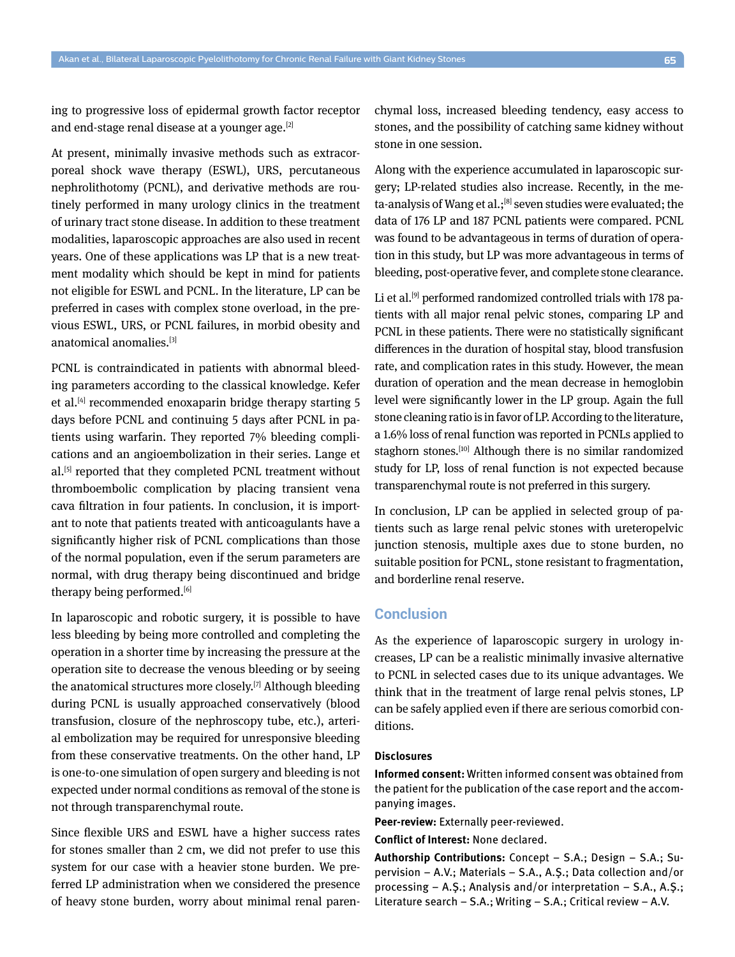ing to progressive loss of epidermal growth factor receptor and end-stage renal disease at a younger age.<sup>[2]</sup>

At present, minimally invasive methods such as extracorporeal shock wave therapy (ESWL), URS, percutaneous nephrolithotomy (PCNL), and derivative methods are routinely performed in many urology clinics in the treatment of urinary tract stone disease. In addition to these treatment modalities, laparoscopic approaches are also used in recent years. One of these applications was LP that is a new treatment modality which should be kept in mind for patients not eligible for ESWL and PCNL. In the literature, LP can be preferred in cases with complex stone overload, in the previous ESWL, URS, or PCNL failures, in morbid obesity and anatomical anomalies.[3]

PCNL is contraindicated in patients with abnormal bleeding parameters according to the classical knowledge. Kefer et al.<sup>[4]</sup> recommended enoxaparin bridge therapy starting 5 days before PCNL and continuing 5 days after PCNL in patients using warfarin. They reported 7% bleeding complications and an angioembolization in their series. Lange et al.<sup>[5]</sup> reported that they completed PCNL treatment without thromboembolic complication by placing transient vena cava filtration in four patients. In conclusion, it is important to note that patients treated with anticoagulants have a significantly higher risk of PCNL complications than those of the normal population, even if the serum parameters are normal, with drug therapy being discontinued and bridge therapy being performed.[6]

In laparoscopic and robotic surgery, it is possible to have less bleeding by being more controlled and completing the operation in a shorter time by increasing the pressure at the operation site to decrease the venous bleeding or by seeing the anatomical structures more closely.[7] Although bleeding during PCNL is usually approached conservatively (blood transfusion, closure of the nephroscopy tube, etc.), arterial embolization may be required for unresponsive bleeding from these conservative treatments. On the other hand, LP is one-to-one simulation of open surgery and bleeding is not expected under normal conditions as removal of the stone is not through transparenchymal route.

Since flexible URS and ESWL have a higher success rates for stones smaller than 2 cm, we did not prefer to use this system for our case with a heavier stone burden. We preferred LP administration when we considered the presence of heavy stone burden, worry about minimal renal parenchymal loss, increased bleeding tendency, easy access to stones, and the possibility of catching same kidney without stone in one session.

Along with the experience accumulated in laparoscopic surgery; LP-related studies also increase. Recently, in the meta-analysis of Wang et al.;<sup>[8]</sup> seven studies were evaluated; the data of 176 LP and 187 PCNL patients were compared. PCNL was found to be advantageous in terms of duration of operation in this study, but LP was more advantageous in terms of bleeding, post-operative fever, and complete stone clearance.

Li et al.<sup>[9]</sup> performed randomized controlled trials with 178 patients with all major renal pelvic stones, comparing LP and PCNL in these patients. There were no statistically significant differences in the duration of hospital stay, blood transfusion rate, and complication rates in this study. However, the mean duration of operation and the mean decrease in hemoglobin level were significantly lower in the LP group. Again the full stone cleaning ratio is in favor of LP. According to the literature, a 1.6% loss of renal function was reported in PCNLs applied to staghorn stones.<sup>[10]</sup> Although there is no similar randomized study for LP, loss of renal function is not expected because transparenchymal route is not preferred in this surgery.

In conclusion, LP can be applied in selected group of patients such as large renal pelvic stones with ureteropelvic junction stenosis, multiple axes due to stone burden, no suitable position for PCNL, stone resistant to fragmentation, and borderline renal reserve.

### **Conclusion**

As the experience of laparoscopic surgery in urology increases, LP can be a realistic minimally invasive alternative to PCNL in selected cases due to its unique advantages. We think that in the treatment of large renal pelvis stones, LP can be safely applied even if there are serious comorbid conditions.

#### **Disclosures**

**Informed consent:** Written informed consent was obtained from the patient for the publication of the case report and the accompanying images.

**Peer-review:** Externally peer-reviewed.

**Conflict of Interest:** None declared.

**Authorship Contributions:** Concept – S.A.; Design – S.A.; Supervision – A.V.; Materials – S.A., A.Ş.; Data collection and/or processing – A.Ş.; Analysis and/or interpretation – S.A., A.Ş.; Literature search – S.A.; Writing – S.A.; Critical review – A.V.